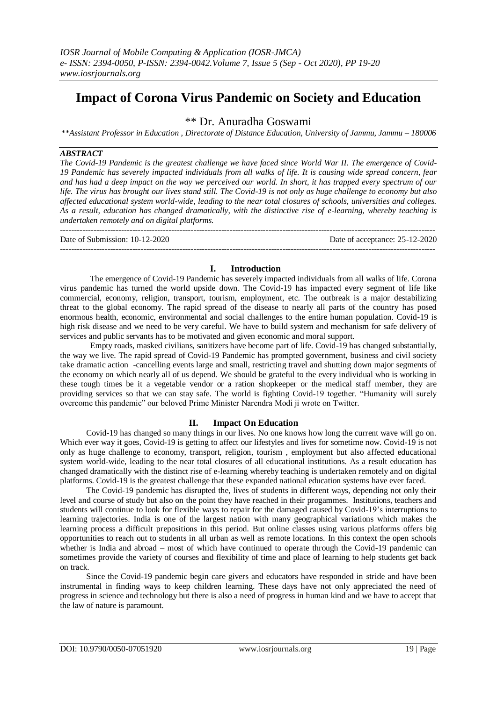# **Impact of Corona Virus Pandemic on Society and Education**

\*\* Dr. Anuradha Goswami

*\*\*Assistant Professor in Education , Directorate of Distance Education, University of Jammu, Jammu – 180006*

#### *ABSTRACT*

*The Covid-19 Pandemic is the greatest challenge we have faced since World War II. The emergence of Covid-19 Pandemic has severely impacted individuals from all walks of life. It is causing wide spread concern, fear and has had a deep impact on the way we perceived our world. In short, it has trapped every spectrum of our life. The virus has brought our lives stand still. The Covid-19 is not only as huge challenge to economy but also affected educational system world-wide, leading to the near total closures of schools, universities and colleges. As a result, education has changed dramatically, with the distinctive rise of e-learning, whereby teaching is undertaken remotely and on digital platforms.*

--------------------------------------------------------------------------------------------------------------------------------------- Date of Submission: 10-12-2020 Date of acceptance: 25-12-2020 ---------------------------------------------------------------------------------------------------------------------------------------

# **I. Introduction**

The emergence of Covid-19 Pandemic has severely impacted individuals from all walks of life. Corona virus pandemic has turned the world upside down. The Covid-19 has impacted every segment of life like commercial, economy, religion, transport, tourism, employment, etc. The outbreak is a major destabilizing threat to the global economy. The rapid spread of the disease to nearly all parts of the country has posed enormous health, economic, environmental and social challenges to the entire human population. Covid-19 is high risk disease and we need to be very careful. We have to build system and mechanism for safe delivery of services and public servants has to be motivated and given economic and moral support.

Empty roads, masked civilians, sanitizers have become part of life. Covid-19 has changed substantially, the way we live. The rapid spread of Covid-19 Pandemic has prompted government, business and civil society take dramatic action -cancelling events large and small, restricting travel and shutting down major segments of the economy on which nearly all of us depend. We should be grateful to the every individual who is working in these tough times be it a vegetable vendor or a ration shopkeeper or the medical staff member, they are providing services so that we can stay safe. The world is fighting Covid-19 together. "Humanity will surely overcome this pandemic" our beloved Prime Minister Narendra Modi ji wrote on Twitter.

# **II. Impact On Education**

Covid-19 has changed so many things in our lives. No one knows how long the current wave will go on. Which ever way it goes, Covid-19 is getting to affect our lifestyles and lives for sometime now. Covid-19 is not only as huge challenge to economy, transport, religion, tourism , employment but also affected educational system world-wide, leading to the near total closures of all educational institutions. As a result education has changed dramatically with the distinct rise of e-learning whereby teaching is undertaken remotely and on digital platforms. Covid-19 is the greatest challenge that these expanded national education systems have ever faced.

The Covid-19 pandemic has disrupted the, lives of students in different ways, depending not only their level and course of study but also on the point they have reached in their progammes. Institutions, teachers and students will continue to look for flexible ways to repair for the damaged caused by Covid-19's interruptions to learning trajectories. India is one of the largest nation with many geographical variations which makes the learning process a difficult prepositions in this period. But online classes using various platforms offers big opportunities to reach out to students in all urban as well as remote locations. In this context the open schools whether is India and abroad – most of which have continued to operate through the Covid-19 pandemic can sometimes provide the variety of courses and flexibility of time and place of learning to help students get back on track.

Since the Covid-19 pandemic begin care givers and educators have responded in stride and have been instrumental in finding ways to keep children learning. These days have not only appreciated the need of progress in science and technology but there is also a need of progress in human kind and we have to accept that the law of nature is paramount.